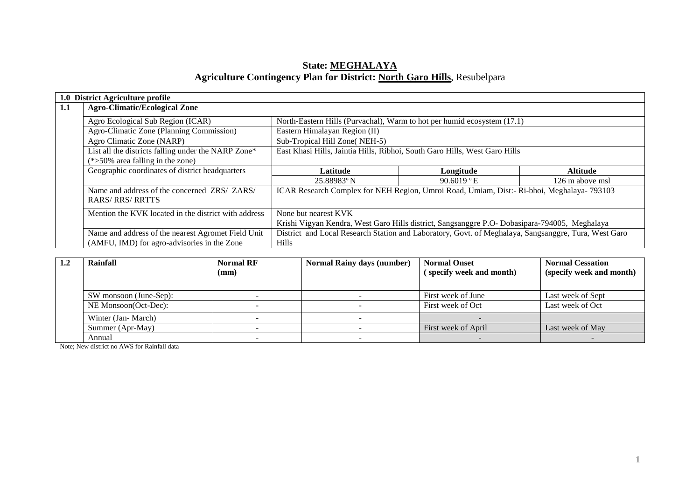### **State: MEGHALAYA Agriculture Contingency Plan for District: North Garo Hills**, Resubelpara

|     | 1.0 District Agriculture profile                     |                                                                                                      |            |                 |  |  |  |
|-----|------------------------------------------------------|------------------------------------------------------------------------------------------------------|------------|-----------------|--|--|--|
| 1.1 | <b>Agro-Climatic/Ecological Zone</b>                 |                                                                                                      |            |                 |  |  |  |
|     | Agro Ecological Sub Region (ICAR)                    | North-Eastern Hills (Purvachal), Warm to hot per humid ecosystem (17.1)                              |            |                 |  |  |  |
|     | Agro-Climatic Zone (Planning Commission)             | Eastern Himalayan Region (II)                                                                        |            |                 |  |  |  |
|     | Agro Climatic Zone (NARP)                            | Sub-Tropical Hill Zone(NEH-5)                                                                        |            |                 |  |  |  |
|     | List all the districts falling under the NARP Zone*  | East Khasi Hills, Jaintia Hills, Ribhoi, South Garo Hills, West Garo Hills                           |            |                 |  |  |  |
|     | $(*>50\%$ area falling in the zone)                  |                                                                                                      |            |                 |  |  |  |
|     | Geographic coordinates of district headquarters      | Latitude                                                                                             | Longitude  | <b>Altitude</b> |  |  |  |
|     |                                                      | 25.88983°N                                                                                           | 90.6019 °E | 126 m above msl |  |  |  |
|     | Name and address of the concerned ZRS/ ZARS/         | ICAR Research Complex for NEH Region, Umroi Road, Umiam, Dist:- Ri-bhoi, Meghalaya- 793103           |            |                 |  |  |  |
|     | <b>RARS/RRS/RRTTS</b>                                |                                                                                                      |            |                 |  |  |  |
|     | Mention the KVK located in the district with address | None but nearest KVK                                                                                 |            |                 |  |  |  |
|     |                                                      | Krishi Vigyan Kendra, West Garo Hills district, Sangsanggre P.O- Dobasipara-794005, Meghalaya        |            |                 |  |  |  |
|     | Name and address of the nearest Agromet Field Unit   | District and Local Research Station and Laboratory, Govt. of Meghalaya, Sangsanggre, Tura, West Garo |            |                 |  |  |  |
|     | (AMFU, IMD) for agro-advisories in the Zone          | <b>Hills</b>                                                                                         |            |                 |  |  |  |

| Rainfall               | <b>Normal RF</b><br>(mm) | <b>Normal Rainy days (number)</b> | <b>Normal Onset</b><br>(specify week and month) | <b>Normal Cessation</b><br>(specify week and month) |  |
|------------------------|--------------------------|-----------------------------------|-------------------------------------------------|-----------------------------------------------------|--|
| SW monsoon (June-Sep): |                          |                                   | First week of June                              | Last week of Sept                                   |  |
| NE Monsoon(Oct-Dec):   |                          |                                   | First week of Oct                               | Last week of Oct                                    |  |
| Winter (Jan-March)     |                          |                                   |                                                 |                                                     |  |
| Summer (Apr-May)       |                          |                                   | First week of April                             | Last week of May                                    |  |
| Annual                 |                          |                                   |                                                 |                                                     |  |

Note; New district no AWS for Rainfall data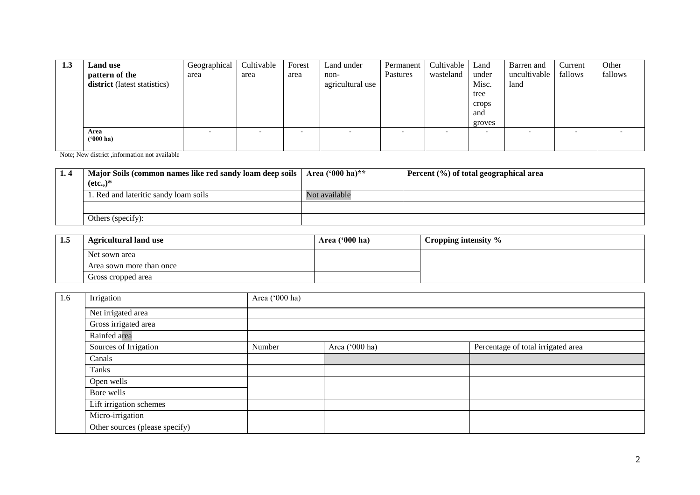| 1.3 | <b>Land use</b>              | Geographical             | Cultivable | Forest | Land under               | Permanent | Cultivable               | Land   | Barren and   | Current | Other   |
|-----|------------------------------|--------------------------|------------|--------|--------------------------|-----------|--------------------------|--------|--------------|---------|---------|
|     | pattern of the               | area                     | area       | area   | non-                     | Pastures  | wasteland                | under  | uncultivable | fallows | fallows |
|     | district (latest statistics) |                          |            |        | agricultural use         |           |                          | Misc.  | land         |         |         |
|     |                              |                          |            |        |                          |           |                          | tree   |              |         |         |
|     |                              |                          |            |        |                          |           |                          | crops  |              |         |         |
|     |                              |                          |            |        |                          |           |                          | and    |              |         |         |
|     |                              |                          |            |        |                          |           |                          | groves |              |         |         |
|     | Area                         | $\overline{\phantom{a}}$ |            |        | $\overline{\phantom{a}}$ |           | $\overline{\phantom{a}}$ | ۰      |              |         |         |
|     | $(900)$ ha)                  |                          |            |        |                          |           |                          |        |              |         |         |

Note; New district ,information not available

| Major Soils (common names like red sandy loam deep soils  <br>$(\text{etc.})^*$ | Area $(900 \text{ ha})$ ** | Percent $(\% )$ of total geographical area |
|---------------------------------------------------------------------------------|----------------------------|--------------------------------------------|
| 1. Red and lateritic sandy loam soils                                           | Not available              |                                            |
|                                                                                 |                            |                                            |
| Others (specify):                                                               |                            |                                            |

| 1.5 | <b>Agricultural land use</b> | Area ('000 ha) | Cropping intensity % |
|-----|------------------------------|----------------|----------------------|
|     | Net sown area                |                |                      |
|     | Area sown more than once     |                |                      |
|     | Gross cropped area           |                |                      |

| 1.6 | Irrigation                     | Area ('000 ha) |                |                                    |  |  |  |  |  |
|-----|--------------------------------|----------------|----------------|------------------------------------|--|--|--|--|--|
|     | Net irrigated area             |                |                |                                    |  |  |  |  |  |
|     | Gross irrigated area           |                |                |                                    |  |  |  |  |  |
|     | Rainfed area                   |                |                |                                    |  |  |  |  |  |
|     | Sources of Irrigation          | Number         | Area ('000 ha) | Percentage of total irrigated area |  |  |  |  |  |
|     | Canals                         |                |                |                                    |  |  |  |  |  |
|     | Tanks                          |                |                |                                    |  |  |  |  |  |
|     | Open wells                     |                |                |                                    |  |  |  |  |  |
|     | Bore wells                     |                |                |                                    |  |  |  |  |  |
|     | Lift irrigation schemes        |                |                |                                    |  |  |  |  |  |
|     | Micro-irrigation               |                |                |                                    |  |  |  |  |  |
|     | Other sources (please specify) |                |                |                                    |  |  |  |  |  |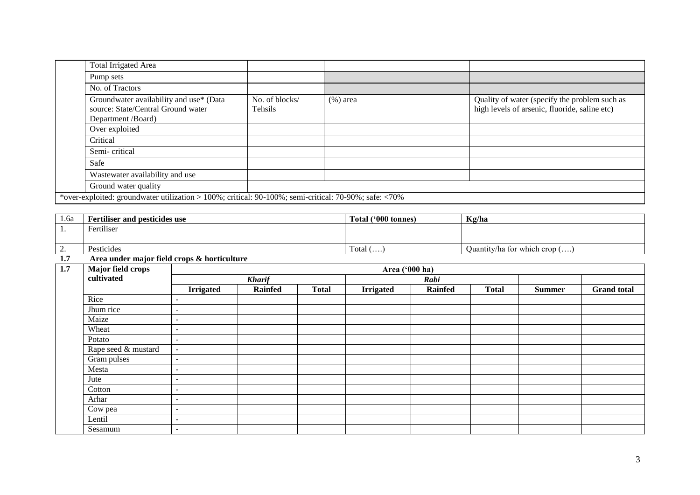| <b>Total Irrigated Area</b>                                                                           |                           |             |                                                                                                |
|-------------------------------------------------------------------------------------------------------|---------------------------|-------------|------------------------------------------------------------------------------------------------|
| Pump sets                                                                                             |                           |             |                                                                                                |
| No. of Tractors                                                                                       |                           |             |                                                                                                |
| Groundwater availability and use* (Data<br>source: State/Central Ground water<br>Department /Board)   | No. of blocks/<br>Tehsils | $(\%)$ area | Quality of water (specify the problem such as<br>high levels of arsenic, fluoride, saline etc) |
| Over exploited                                                                                        |                           |             |                                                                                                |
| Critical                                                                                              |                           |             |                                                                                                |
| Semi-critical                                                                                         |                           |             |                                                                                                |
| Safe                                                                                                  |                           |             |                                                                                                |
| Wastewater availability and use                                                                       |                           |             |                                                                                                |
| Ground water quality                                                                                  |                           |             |                                                                                                |
| *over-exploited: groundwater utilization > 100%; critical: 90-100%; semi-critical: 70-90%; safe: <70% |                           |             |                                                                                                |

| 1.6a                     | <b>Fertiliser and pesticides use</b> | Total ('000 tonnes)<br>$\sim$ | Kg/ha                                 |
|--------------------------|--------------------------------------|-------------------------------|---------------------------------------|
| . .                      | Fertiliser                           |                               |                                       |
|                          |                                      |                               |                                       |
| $\overline{\phantom{a}}$ | Pesticides                           | Total $(\ldots)$              | Quantity/ha for which crop $(\ldots)$ |

### **1.7 Area under major field crops & horticulture**

| <b>Major field crops</b><br>1.7<br>Area ('000 ha) |                     |                          |                |              |                  |                |              |               |                    |
|---------------------------------------------------|---------------------|--------------------------|----------------|--------------|------------------|----------------|--------------|---------------|--------------------|
|                                                   | cultivated          | <b>Kharif</b>            |                |              | Rabi             |                |              |               |                    |
|                                                   |                     | <b>Irrigated</b>         | <b>Rainfed</b> | <b>Total</b> | <b>Irrigated</b> | <b>Rainfed</b> | <b>Total</b> | <b>Summer</b> | <b>Grand</b> total |
|                                                   | Rice                | $\overline{\phantom{a}}$ |                |              |                  |                |              |               |                    |
|                                                   | Jhum rice           | $\overline{\phantom{a}}$ |                |              |                  |                |              |               |                    |
|                                                   | Maize               | $\overline{\phantom{a}}$ |                |              |                  |                |              |               |                    |
|                                                   | Wheat               | $\overline{\phantom{a}}$ |                |              |                  |                |              |               |                    |
|                                                   | Potato              | $\overline{\phantom{a}}$ |                |              |                  |                |              |               |                    |
|                                                   | Rape seed & mustard | $\overline{\phantom{a}}$ |                |              |                  |                |              |               |                    |
|                                                   | Gram pulses         | $\sim$                   |                |              |                  |                |              |               |                    |
|                                                   | Mesta               | $\sim$                   |                |              |                  |                |              |               |                    |
|                                                   | Jute                | $\overline{\phantom{a}}$ |                |              |                  |                |              |               |                    |
|                                                   | Cotton              | $\overline{\phantom{a}}$ |                |              |                  |                |              |               |                    |
|                                                   | Arhar               | $\sim$                   |                |              |                  |                |              |               |                    |
|                                                   | Cow pea             | $\overline{\phantom{a}}$ |                |              |                  |                |              |               |                    |
|                                                   | Lentil              | $\overline{\phantom{a}}$ |                |              |                  |                |              |               |                    |
|                                                   | Sesamum             | $\overline{\phantom{a}}$ |                |              |                  |                |              |               |                    |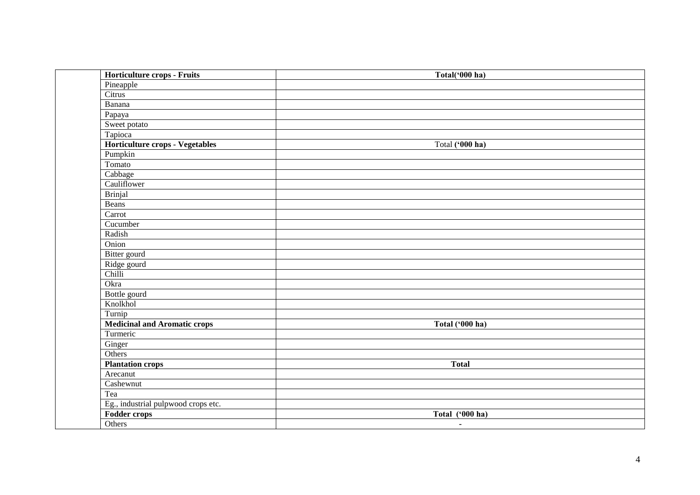| Horticulture crops - Fruits         | Total('000 ha)  |
|-------------------------------------|-----------------|
| Pineapple                           |                 |
| Citrus                              |                 |
| Banana                              |                 |
| Papaya                              |                 |
| Sweet potato                        |                 |
| Tapioca                             |                 |
| Horticulture crops - Vegetables     | Total ('000 ha) |
| Pumpkin                             |                 |
| Tomato                              |                 |
| Cabbage                             |                 |
| Cauliflower                         |                 |
| <b>Brinjal</b>                      |                 |
| Beans                               |                 |
| Carrot                              |                 |
| Cucumber                            |                 |
| Radish                              |                 |
| Onion                               |                 |
| Bitter gourd                        |                 |
| Ridge gourd                         |                 |
| Chilli                              |                 |
| Okra                                |                 |
| Bottle gourd                        |                 |
| Knolkhol                            |                 |
| Turnip                              |                 |
| <b>Medicinal and Aromatic crops</b> | Total ('000 ha) |
| Turmeric                            |                 |
| Ginger                              |                 |
| Others                              |                 |
| <b>Plantation crops</b>             | <b>Total</b>    |
| Arecanut                            |                 |
| Cashewnut                           |                 |
| Tea                                 |                 |
| Eg., industrial pulpwood crops etc. |                 |
| Fodder crops                        | Total ('000 ha) |
| Others                              | $\blacksquare$  |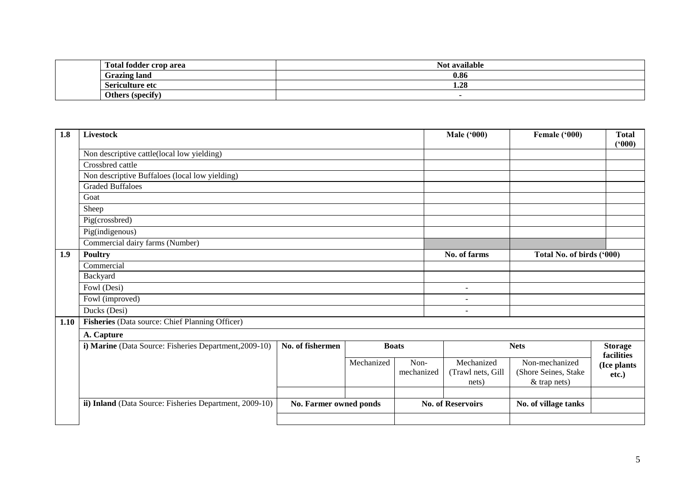| Total fodder crop area                                 | $\cdots$<br>available |
|--------------------------------------------------------|-----------------------|
| <b>Grazing land</b>                                    | 0.86                  |
| Sericulture etc                                        | ^^<br>1.40            |
| . .<br><b>Others</b><br>tengeity<br>uu<br>. <i>. .</i> |                       |

| 1.8  | Livestock                                               |                        | <b>Male ('000)</b> | Female ('000) | <b>Total</b><br>(900)    |                           |                              |
|------|---------------------------------------------------------|------------------------|--------------------|---------------|--------------------------|---------------------------|------------------------------|
|      | Non descriptive cattle(local low yielding)              |                        |                    |               |                          |                           |                              |
|      | Crossbred cattle                                        |                        |                    |               |                          |                           |                              |
|      | Non descriptive Buffaloes (local low yielding)          |                        |                    |               |                          |                           |                              |
|      | <b>Graded Buffaloes</b>                                 |                        |                    |               |                          |                           |                              |
|      | Goat                                                    |                        |                    |               |                          |                           |                              |
|      | Sheep                                                   |                        |                    |               |                          |                           |                              |
|      | Pig(crossbred)                                          |                        |                    |               |                          |                           |                              |
|      | Pig(indigenous)                                         |                        |                    |               |                          |                           |                              |
|      | Commercial dairy farms (Number)                         |                        |                    |               |                          |                           |                              |
| 1.9  | <b>Poultry</b>                                          |                        |                    |               | No. of farms             | Total No. of birds ('000) |                              |
|      | Commercial                                              |                        |                    |               |                          |                           |                              |
|      | Backyard                                                |                        |                    |               |                          |                           |                              |
|      | Fowl (Desi)                                             |                        |                    |               | $\overline{\phantom{a}}$ |                           |                              |
|      | Fowl (improved)                                         |                        |                    |               | $\overline{\phantom{a}}$ |                           |                              |
|      | Ducks (Desi)                                            |                        |                    |               | $\overline{\phantom{0}}$ |                           |                              |
| 1.10 | Fisheries (Data source: Chief Planning Officer)         |                        |                    |               |                          |                           |                              |
|      | A. Capture                                              |                        |                    |               |                          |                           |                              |
|      | i) Marine (Data Source: Fisheries Department, 2009-10)  | No. of fishermen       |                    | <b>Boats</b>  |                          | <b>Nets</b>               | <b>Storage</b><br>facilities |
|      |                                                         |                        | Mechanized         | Non-          | Mechanized               | Non-mechanized            | (Ice plants                  |
|      |                                                         |                        |                    | mechanized    | (Trawl nets, Gill        | (Shore Seines, Stake      | etc.)                        |
|      |                                                         |                        |                    |               | nets)                    | & trap nets)              |                              |
|      |                                                         |                        |                    |               |                          |                           |                              |
|      | ii) Inland (Data Source: Fisheries Department, 2009-10) | No. Farmer owned ponds |                    |               | <b>No. of Reservoirs</b> | No. of village tanks      |                              |
|      |                                                         |                        |                    |               |                          |                           |                              |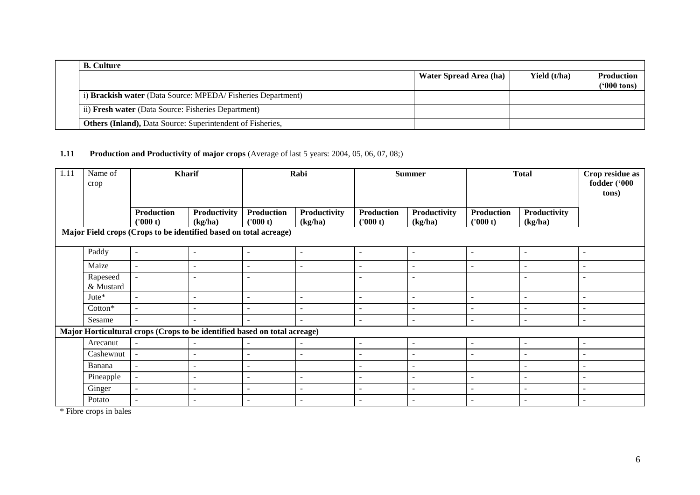| <b>B.</b> Culture                                                 |                        |              |                                           |
|-------------------------------------------------------------------|------------------------|--------------|-------------------------------------------|
|                                                                   | Water Spread Area (ha) | Yield (t/ha) | <b>Production</b><br>$(900 \text{ tons})$ |
| i) Brackish water (Data Source: MPEDA/Fisheries Department)       |                        |              |                                           |
| ii) Fresh water (Data Source: Fisheries Department)               |                        |              |                                           |
| <b>Others (Inland), Data Source: Superintendent of Fisheries,</b> |                        |              |                                           |

#### **1.11 Production and Productivity of major crops** (Average of last 5 years: 2004, 05, 06, 07, 08;)

| 1.11 | Name of<br>crop       | <b>Kharif</b>                                                             |                                | Rabi                          |                          | <b>Summer</b>                 |                          | <b>Total</b>             |                          | Crop residue as<br>fodder ('000<br>tons) |
|------|-----------------------|---------------------------------------------------------------------------|--------------------------------|-------------------------------|--------------------------|-------------------------------|--------------------------|--------------------------|--------------------------|------------------------------------------|
|      |                       | <b>Production</b><br>(1000 t)                                             | <b>Productivity</b><br>(kg/ha) | <b>Production</b><br>(1000 t) | Productivity<br>(kg/ha)  | <b>Production</b><br>(1000 t) | Productivity<br>(kg/ha)  | Production<br>('000 t)   | Productivity<br>(kg/ha)  |                                          |
|      |                       | Major Field crops (Crops to be identified based on total acreage)         |                                |                               |                          |                               |                          |                          |                          |                                          |
|      | Paddy                 | $\sim$                                                                    | $\sim$                         | $\sim$                        | $\overline{\phantom{a}}$ | $\blacksquare$                | $\blacksquare$           | $\sim$                   | $\sim$                   | $\overline{\phantom{a}}$                 |
|      | Maize                 | $\overline{\phantom{a}}$                                                  |                                | $\overline{\phantom{a}}$      | $\overline{\phantom{a}}$ | $\overline{a}$                | $\overline{\phantom{a}}$ | $\overline{\phantom{a}}$ | $\overline{\phantom{a}}$ |                                          |
|      | Rapeseed<br>& Mustard | $\sim$                                                                    | $\overline{\phantom{a}}$       | $\sim$                        |                          | $\overline{\phantom{a}}$      | $\blacksquare$           |                          | $\overline{\phantom{a}}$ | $\overline{\phantom{a}}$                 |
|      | Jute*                 | $\sim$                                                                    | $\overline{\phantom{a}}$       | $\overline{\phantom{a}}$      | $\overline{\phantom{a}}$ | $\overline{\phantom{a}}$      | $\blacksquare$           | $\sim$                   | $\overline{\phantom{a}}$ | $\overline{\phantom{a}}$                 |
|      | Cotton*               | $\sim$                                                                    | $\overline{\phantom{a}}$       | $\sim$                        | $\overline{\phantom{a}}$ | $\overline{\phantom{a}}$      | $\blacksquare$           | $\overline{\phantom{a}}$ | $\overline{\phantom{a}}$ | $\overline{\phantom{a}}$                 |
|      | Sesame                | $\overline{\phantom{a}}$                                                  |                                | $\sim$                        | $\overline{\phantom{a}}$ | $\overline{\phantom{a}}$      | $\blacksquare$           | $\overline{\phantom{a}}$ | $\sim$                   | $\overline{\phantom{a}}$                 |
|      |                       | Major Horticultural crops (Crops to be identified based on total acreage) |                                |                               |                          |                               |                          |                          |                          |                                          |
|      | Arecanut              | $\overline{a}$                                                            |                                | $\sim$                        |                          | $\blacksquare$                | $\overline{\phantom{a}}$ | $\sim$                   | $\sim$                   | $\overline{\phantom{a}}$                 |
|      | Cashewnut             | $\blacksquare$                                                            | $\overline{\phantom{a}}$       | $\overline{\phantom{a}}$      | $\overline{\phantom{a}}$ | $\overline{\phantom{a}}$      | $\blacksquare$           | $\sim$                   | $\overline{\phantom{a}}$ | $\overline{\phantom{a}}$                 |
|      | Banana                | $\sim$                                                                    | $\sim$                         | $\overline{\phantom{a}}$      |                          | $\blacksquare$                | $\overline{a}$           |                          | $\sim$                   | $\overline{\phantom{a}}$                 |
|      | Pineapple             | $\blacksquare$                                                            | $\overline{\phantom{a}}$       | $\overline{\phantom{a}}$      | $\overline{\phantom{a}}$ | $\overline{\phantom{a}}$      | $\blacksquare$           | $\sim$                   | $\overline{\phantom{a}}$ | $\overline{\phantom{a}}$                 |
|      | Ginger                | $\overline{\phantom{a}}$                                                  | $\overline{\phantom{a}}$       | $\overline{\phantom{a}}$      | $\overline{\phantom{a}}$ | $\overline{\phantom{a}}$      | $\overline{\phantom{a}}$ | $\sim$                   | $\sim$                   | $\overline{\phantom{0}}$                 |
|      | Potato                | $\sim$                                                                    | $\overline{\phantom{a}}$       | $\sim$                        | $\overline{\phantom{a}}$ | $\overline{\phantom{a}}$      | $\overline{\phantom{a}}$ | $\overline{a}$           | $\overline{\phantom{a}}$ | $\overline{\phantom{a}}$                 |

\* Fibre crops in bales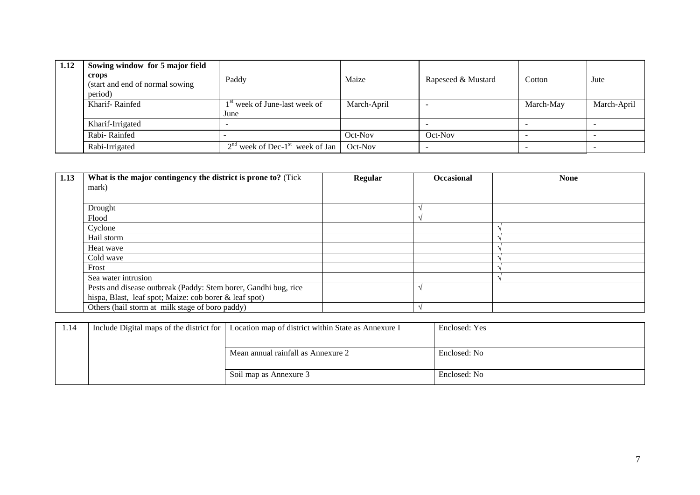| 1.12 | Sowing window for 5 major field<br>crops<br>(start and end of normal sowing<br>period) | Paddy                                         | Maize       | Rapeseed & Mustard | Cotton    | Jute        |
|------|----------------------------------------------------------------------------------------|-----------------------------------------------|-------------|--------------------|-----------|-------------|
|      | Kharif-Rainfed                                                                         | 1 <sup>st</sup> week of June-last week of     | March-April |                    | March-May | March-April |
|      |                                                                                        | June                                          |             |                    |           |             |
|      | Kharif-Irrigated                                                                       |                                               |             |                    |           |             |
|      | Rabi-Rainfed                                                                           |                                               | Oct-Nov     | Oct-Nov            |           |             |
|      | Rabi-Irrigated                                                                         | $2nd$ week of Dec-1 <sup>st</sup> week of Jan | Oct-Nov     |                    |           |             |

| 1.13 | What is the major contingency the district is prone to? (Tick   | Regular | <b>Occasional</b> | <b>None</b> |
|------|-----------------------------------------------------------------|---------|-------------------|-------------|
|      | mark)                                                           |         |                   |             |
|      |                                                                 |         |                   |             |
|      | Drought                                                         |         |                   |             |
|      | Flood                                                           |         |                   |             |
|      | Cyclone                                                         |         |                   |             |
|      | Hail storm                                                      |         |                   |             |
|      | Heat wave                                                       |         |                   |             |
|      | Cold wave                                                       |         |                   |             |
|      | Frost                                                           |         |                   |             |
|      | Sea water intrusion                                             |         |                   |             |
|      | Pests and disease outbreak (Paddy: Stem borer, Gandhi bug, rice |         |                   |             |
|      | hispa, Blast, leaf spot; Maize: cob borer & leaf spot)          |         |                   |             |
|      | Others (hail storm at milk stage of boro paddy)                 |         |                   |             |

| 1.14 | Include Digital maps of the district for   Location map of district within State as Annexure I | Enclosed: Yes |
|------|------------------------------------------------------------------------------------------------|---------------|
|      |                                                                                                |               |
|      | Mean annual rainfall as Annexure 2                                                             | Enclosed: No  |
|      |                                                                                                |               |
|      | Soil map as Annexure 3                                                                         | Enclosed: No  |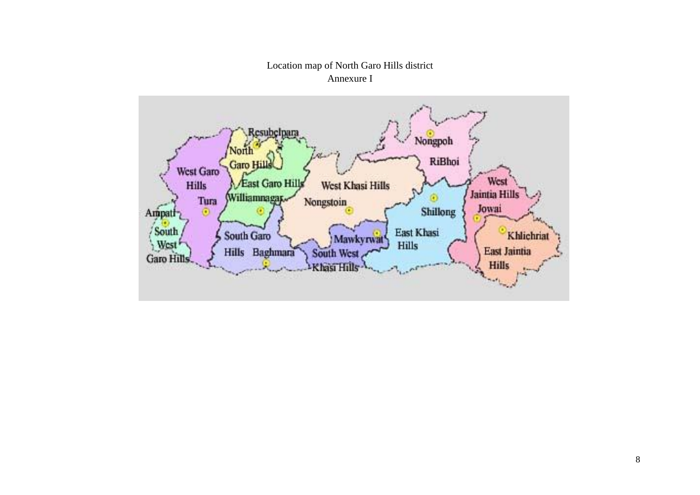# Location map of North Garo Hills district Annexure I

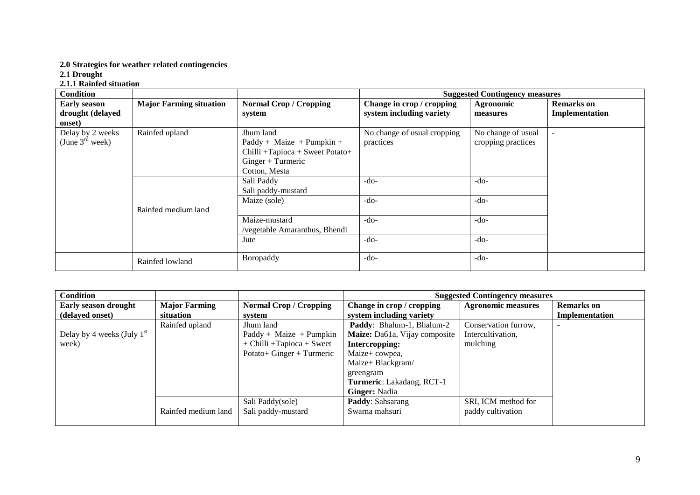#### **2.0 Strategies for weather related contingencies**

**2.1 Drought** 

#### **2.1.1 Rainfed situation**

| <b>Condition</b>            |                                |                                 | <b>Suggested Contingency measures</b> |                    |                   |  |  |
|-----------------------------|--------------------------------|---------------------------------|---------------------------------------|--------------------|-------------------|--|--|
| <b>Early season</b>         | <b>Major Farming situation</b> | <b>Normal Crop / Cropping</b>   | Change in crop / cropping             | Agronomic          | <b>Remarks</b> on |  |  |
| drought (delayed            |                                | system                          | system including variety              | measures           | Implementation    |  |  |
| onset)                      |                                |                                 |                                       |                    |                   |  |  |
| Delay by 2 weeks            | Rainfed upland                 | Jhum land                       | No change of usual cropping           | No change of usual | $\blacksquare$    |  |  |
| (June $3^{\text{rd}}$ week) |                                | $Paddy + Maize + Pumpkin +$     | practices                             | cropping practices |                   |  |  |
|                             |                                | Chilli +Tapioca + Sweet Potato+ |                                       |                    |                   |  |  |
|                             |                                | $Ginger + Turrence$             |                                       |                    |                   |  |  |
|                             |                                | Cotton, Mesta                   |                                       |                    |                   |  |  |
|                             |                                | Sali Paddy                      | $-do-$                                | $-do-$             |                   |  |  |
|                             |                                | Sali paddy-mustard              |                                       |                    |                   |  |  |
|                             |                                | Maize (sole)                    | $-do-$                                | $-do-$             |                   |  |  |
|                             | Rainfed medium land            |                                 |                                       |                    |                   |  |  |
|                             |                                | Maize-mustard                   | $-do-$                                | $-do-$             |                   |  |  |
|                             |                                | /vegetable Amaranthus, Bhendi   |                                       |                    |                   |  |  |
|                             |                                | Jute                            | $-do-$                                | $-do-$             |                   |  |  |
|                             |                                |                                 |                                       |                    |                   |  |  |
|                             | Rainfed lowland                | Boropaddy                       | $-do-$                                | $-do-$             |                   |  |  |

| <b>Condition</b>             |                      |                                  | <b>Suggested Contingency measures</b> |                           |                   |  |
|------------------------------|----------------------|----------------------------------|---------------------------------------|---------------------------|-------------------|--|
| <b>Early season drought</b>  | <b>Major Farming</b> | <b>Normal Crop / Cropping</b>    | Change in crop / cropping             | <b>Agronomic measures</b> | <b>Remarks</b> on |  |
| (delayed onset)              | situation            | svstem                           | system including variety              |                           | Implementation    |  |
|                              | Rainfed upland       | Jhum land                        | Paddy: Bhalum-1, Bhalum-2             | Conservation furrow,      |                   |  |
| Delay by 4 weeks (July $1st$ |                      | $Paddy + Maize + Pumpkin$        | Maize: Da61a, Vijay composite         | Intercultivation,         |                   |  |
| week)                        |                      | $+$ Chilli $+$ Tapioca $+$ Sweet | Intercropping:                        | mulching                  |                   |  |
|                              |                      | Potato+ Ginger + Turmeric        | Maize+ cowpea,                        |                           |                   |  |
|                              |                      |                                  | Maize+ Blackgram/                     |                           |                   |  |
|                              |                      |                                  | greengram                             |                           |                   |  |
|                              |                      |                                  | Turmeric: Lakadang, RCT-1             |                           |                   |  |
|                              |                      |                                  | <b>Ginger:</b> Nadia                  |                           |                   |  |
|                              |                      | Sali Paddy(sole)                 | Paddy: Sahsarang                      | SRI, ICM method for       |                   |  |
|                              | Rainfed medium land  | Sali paddy-mustard               | Swarna mahsuri                        | paddy cultivation         |                   |  |
|                              |                      |                                  |                                       |                           |                   |  |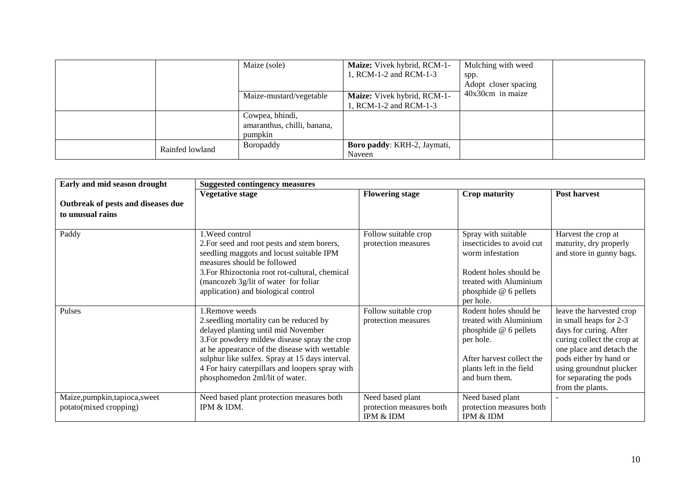|                 | Maize (sole)                                              | Maize: Vivek hybrid, RCM-1-<br>1, RCM-1-2 and RCM-1-3 | Mulching with weed<br>spp.<br>Adopt closer spacing |
|-----------------|-----------------------------------------------------------|-------------------------------------------------------|----------------------------------------------------|
|                 | Maize-mustard/vegetable                                   | Maize: Vivek hybrid, RCM-1-<br>1, RCM-1-2 and RCM-1-3 | $40x30cm$ in maize                                 |
|                 | Cowpea, bhindi,<br>amaranthus, chilli, banana,<br>pumpkin |                                                       |                                                    |
| Rainfed lowland | Boropaddy                                                 | Boro paddy: KRH-2, Jaymati,<br>Naveen                 |                                                    |

| Early and mid season drought                             | <b>Suggested contingency measures</b>                                                                                                                                                                                                                                                                                                    |                                                           |                                                                                                                                                                   |                                                                                                                                                                                                                                            |  |  |  |
|----------------------------------------------------------|------------------------------------------------------------------------------------------------------------------------------------------------------------------------------------------------------------------------------------------------------------------------------------------------------------------------------------------|-----------------------------------------------------------|-------------------------------------------------------------------------------------------------------------------------------------------------------------------|--------------------------------------------------------------------------------------------------------------------------------------------------------------------------------------------------------------------------------------------|--|--|--|
|                                                          | <b>Vegetative stage</b>                                                                                                                                                                                                                                                                                                                  | <b>Flowering stage</b>                                    | <b>Crop maturity</b>                                                                                                                                              | Post harvest                                                                                                                                                                                                                               |  |  |  |
| Outbreak of pests and diseases due                       |                                                                                                                                                                                                                                                                                                                                          |                                                           |                                                                                                                                                                   |                                                                                                                                                                                                                                            |  |  |  |
| to unusual rains                                         |                                                                                                                                                                                                                                                                                                                                          |                                                           |                                                                                                                                                                   |                                                                                                                                                                                                                                            |  |  |  |
| Paddy                                                    | 1. Weed control<br>2. For seed and root pests and stem borers,<br>seedling maggots and locust suitable IPM<br>measures should be followed<br>3. For Rhizoctonia root rot-cultural, chemical<br>(mancozeb 3g/lit of water for foliar<br>application) and biological control                                                               | Follow suitable crop<br>protection measures               | Spray with suitable<br>insecticides to avoid cut<br>worm infestation<br>Rodent holes should be<br>treated with Aluminium<br>phosphide @ 6 pellets<br>per hole.    | Harvest the crop at<br>maturity, dry properly<br>and store in gunny bags.                                                                                                                                                                  |  |  |  |
| Pulses                                                   | 1.Remove weeds<br>2.seedling mortality can be reduced by<br>delayed planting until mid November<br>3. For powdery mildew disease spray the crop<br>at he appearance of the disease with wettable<br>sulphur like sulfex. Spray at 15 days interval.<br>4 For hairy caterpillars and loopers spray with<br>phosphomedon 2ml/lit of water. | Follow suitable crop<br>protection measures               | Rodent holes should be<br>treated with Aluminium<br>phosphide @ 6 pellets<br>per hole.<br>After harvest collect the<br>plants left in the field<br>and burn them. | leave the harvested crop<br>in small heaps for 2-3<br>days for curing. After<br>curing collect the crop at<br>one place and detach the<br>pods either by hand or<br>using groundnut plucker<br>for separating the pods<br>from the plants. |  |  |  |
| Maize, pumpkin, tapioca, sweet<br>potato(mixed cropping) | Need based plant protection measures both<br>IPM & IDM.                                                                                                                                                                                                                                                                                  | Need based plant<br>protection measures both<br>IPM & IDM | Need based plant<br>protection measures both<br>IPM & IDM                                                                                                         |                                                                                                                                                                                                                                            |  |  |  |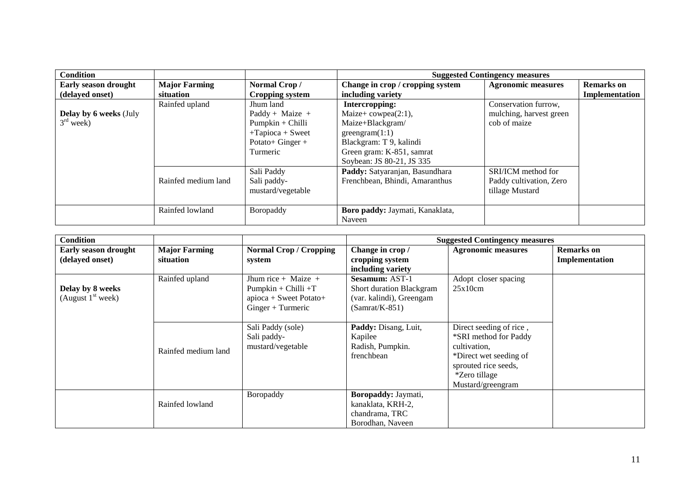| <b>Condition</b>              |                      |                        | <b>Suggested Contingency measures</b> |                           |                   |  |
|-------------------------------|----------------------|------------------------|---------------------------------------|---------------------------|-------------------|--|
| <b>Early season drought</b>   | <b>Major Farming</b> | Normal Crop/           | Change in crop / cropping system      | <b>Agronomic measures</b> | <b>Remarks</b> on |  |
| (delayed onset)               | situation            | <b>Cropping system</b> | including variety                     |                           | Implementation    |  |
|                               | Rainfed upland       | Jhum land              | Intercropping:                        | Conservation furrow,      |                   |  |
| <b>Delay by 6 weeks (July</b> |                      | Paddy + Maize +        | Maize+ $cowpea(2:1)$ ,                | mulching, harvest green   |                   |  |
| $3rd$ week)                   |                      | $Pumpkin + Chilli$     | Maize+Blackgram/                      | cob of maize              |                   |  |
|                               |                      | $+Tapioca + Sweet$     | greengram(1:1)                        |                           |                   |  |
|                               |                      | Potato+ Ginger $+$     | Blackgram: T 9, kalindi               |                           |                   |  |
|                               |                      | Turmeric               | Green gram: K-851, samrat             |                           |                   |  |
|                               |                      |                        | Soybean: JS 80-21, JS 335             |                           |                   |  |
|                               |                      | Sali Paddy             | Paddy: Satyaranjan, Basundhara        | SRI/ICM method for        |                   |  |
|                               | Rainfed medium land  | Sali paddy-            | Frenchbean, Bhindi, Amaranthus        | Paddy cultivation, Zero   |                   |  |
|                               |                      | mustard/vegetable      |                                       | tillage Mustard           |                   |  |
|                               |                      |                        |                                       |                           |                   |  |
|                               | Rainfed lowland      | Boropaddy              | Boro paddy: Jaymati, Kanaklata,       |                           |                   |  |
|                               |                      |                        | Naveen                                |                           |                   |  |

| <b>Condition</b>                               |                                   |                                                                                                | <b>Suggested Contingency measures</b>                                                             |                                                                                                                                                                 |                                     |  |
|------------------------------------------------|-----------------------------------|------------------------------------------------------------------------------------------------|---------------------------------------------------------------------------------------------------|-----------------------------------------------------------------------------------------------------------------------------------------------------------------|-------------------------------------|--|
| <b>Early season drought</b><br>(delayed onset) | <b>Major Farming</b><br>situation | <b>Normal Crop / Cropping</b><br>system                                                        | Change in crop /<br>cropping system<br>including variety                                          | <b>Agronomic measures</b>                                                                                                                                       | <b>Remarks</b> on<br>Implementation |  |
| Delay by 8 weeks<br>(August $1st$ week)        | Rainfed upland                    | Jhum rice + Maize +<br>$Pumpkin + Chilli + T$<br>apioca + Sweet Potato+<br>$Ginger + Turrence$ | <b>Sesamum: AST-1</b><br>Short duration Blackgram<br>(var. kalindi), Greengam<br>$(Samrat/K-851)$ | Adopt closer spacing<br>25x10cm                                                                                                                                 |                                     |  |
|                                                | Rainfed medium land               | Sali Paddy (sole)<br>Sali paddy-<br>mustard/vegetable                                          | Paddy: Disang, Luit,<br>Kapilee<br>Radish, Pumpkin.<br>frenchbean                                 | Direct seeding of rice,<br>*SRI method for Paddy<br>cultivation,<br>*Direct wet seeding of<br>sprouted rice seeds,<br><i>*Zero tillage</i><br>Mustard/greengram |                                     |  |
|                                                | Rainfed lowland                   | Boropaddy                                                                                      | Boropaddy: Jaymati,<br>kanaklata, KRH-2,<br>chandrama, TRC<br>Borodhan, Naveen                    |                                                                                                                                                                 |                                     |  |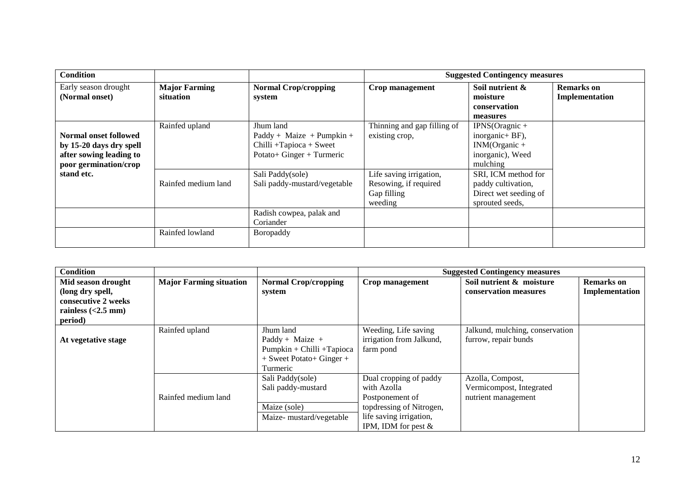| <b>Condition</b>                       |                                   |                                       | <b>Suggested Contingency measures</b> |                                             |                                     |  |
|----------------------------------------|-----------------------------------|---------------------------------------|---------------------------------------|---------------------------------------------|-------------------------------------|--|
| Early season drought<br>(Normal onset) | <b>Major Farming</b><br>situation | <b>Normal Crop/cropping</b><br>system | Crop management                       | Soil nutrient &<br>moisture<br>conservation | <b>Remarks</b> on<br>Implementation |  |
|                                        |                                   |                                       |                                       | measures                                    |                                     |  |
|                                        | Rainfed upland                    | Jhum land                             | Thinning and gap filling of           | $IPNS(Orange +$                             |                                     |  |
| Normal onset followed                  |                                   | $Paddy + Maize + Pumpkin +$           | existing crop,                        | inorganic+ BF),                             |                                     |  |
| by 15-20 days dry spell                |                                   | $Chilli +Tapioca + Sweet$             |                                       | $INM(Organic +$                             |                                     |  |
| after sowing leading to                |                                   | Potato+ Ginger + Turmeric             |                                       | inorganic), Weed                            |                                     |  |
| poor germination/crop                  |                                   |                                       |                                       | mulching                                    |                                     |  |
| stand etc.                             |                                   | Sali Paddy(sole)                      | Life saving irrigation,               | SRI, ICM method for                         |                                     |  |
|                                        | Rainfed medium land               | Sali paddy-mustard/vegetable          | Resowing, if required                 | paddy cultivation,                          |                                     |  |
|                                        |                                   |                                       | Gap filling                           | Direct wet seeding of                       |                                     |  |
|                                        |                                   |                                       | weeding                               | sprouted seeds,                             |                                     |  |
|                                        |                                   | Radish cowpea, palak and              |                                       |                                             |                                     |  |
|                                        |                                   | Coriander                             |                                       |                                             |                                     |  |
|                                        | Rainfed lowland                   | Boropaddy                             |                                       |                                             |                                     |  |
|                                        |                                   |                                       |                                       |                                             |                                     |  |

| <b>Condition</b>     |                                |                             | <b>Suggested Contingency measures</b> |                                 |                   |
|----------------------|--------------------------------|-----------------------------|---------------------------------------|---------------------------------|-------------------|
| Mid season drought   | <b>Major Farming situation</b> | <b>Normal Crop/cropping</b> | Crop management                       | Soil nutrient & moisture        | <b>Remarks</b> on |
| (long dry spell,     |                                | system                      |                                       | conservation measures           | Implementation    |
| consecutive 2 weeks  |                                |                             |                                       |                                 |                   |
| rainless $(<2.5$ mm) |                                |                             |                                       |                                 |                   |
| period)              |                                |                             |                                       |                                 |                   |
|                      | Rainfed upland                 | Jhum land                   | Weeding, Life saving                  | Jalkund, mulching, conservation |                   |
| At vegetative stage  |                                | Paddy + Maize +             | irrigation from Jalkund,              | furrow, repair bunds            |                   |
|                      |                                | Pumpkin + Chilli + Tapioca  | farm pond                             |                                 |                   |
|                      |                                | $+$ Sweet Potato+ Ginger +  |                                       |                                 |                   |
|                      |                                | Turmeric                    |                                       |                                 |                   |
|                      |                                | Sali Paddy(sole)            | Dual cropping of paddy                | Azolla, Compost,                |                   |
|                      |                                | Sali paddy-mustard          | with Azolla                           | Vermicompost, Integrated        |                   |
|                      | Rainfed medium land            |                             | Postponement of                       | nutrient management             |                   |
|                      |                                | Maize (sole)                | topdressing of Nitrogen,              |                                 |                   |
|                      |                                | Maize-mustard/vegetable     | life saving irrigation,               |                                 |                   |
|                      |                                |                             | IPM, IDM for pest $&$                 |                                 |                   |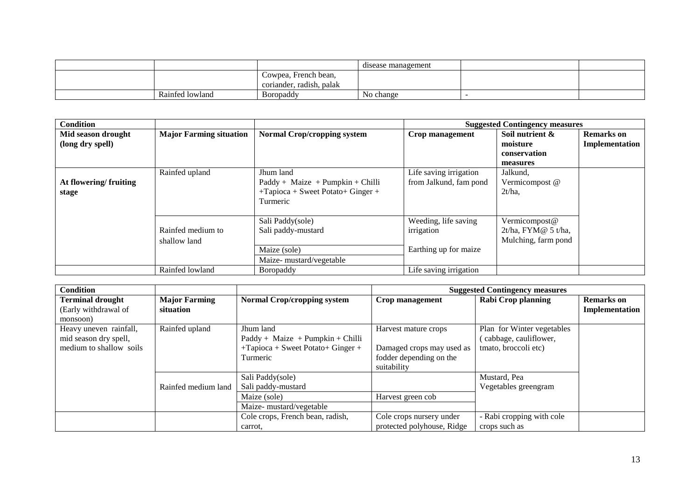|                 |                                                  | disease management |  |
|-----------------|--------------------------------------------------|--------------------|--|
|                 | Cowpea, French bean,<br>coriander, radish, palak |                    |  |
| Rainfed lowland | <b>B</b> oropaddy                                | No change          |  |

| <b>Condition</b>      |                                |                                       |                        | <b>Suggested Contingency measures</b> |                   |
|-----------------------|--------------------------------|---------------------------------------|------------------------|---------------------------------------|-------------------|
| Mid season drought    | <b>Major Farming situation</b> | <b>Normal Crop/cropping system</b>    | Crop management        | Soil nutrient &                       | <b>Remarks</b> on |
| (long dry spell)      |                                |                                       |                        | moisture                              | Implementation    |
|                       |                                |                                       |                        | conservation                          |                   |
|                       |                                |                                       |                        | measures                              |                   |
|                       | Rainfed upland                 | Jhum land                             | Life saving irrigation | Jalkund,                              |                   |
| At flowering/fruiting |                                | $Paddy + Maize + Pumpkin + Chilli$    | from Jalkund, fam pond | Vermicompost @                        |                   |
| stage                 |                                | $+$ Tapioca + Sweet Potato + Ginger + |                        | $2t/ha$ ,                             |                   |
|                       |                                | Turmeric                              |                        |                                       |                   |
|                       |                                |                                       |                        |                                       |                   |
|                       |                                | Sali Paddy(sole)                      | Weeding, life saving   | Vermicompost@                         |                   |
|                       | Rainfed medium to              | Sali paddy-mustard                    | irrigation             | $2t/ha$ , FYM $@$ 5 t/ha,             |                   |
|                       | shallow land                   |                                       |                        | Mulching, farm pond                   |                   |
|                       |                                | Maize (sole)                          | Earthing up for maize  |                                       |                   |
|                       |                                | Maize- mustard/vegetable              |                        |                                       |                   |
|                       | Rainfed lowland                | <b>B</b> oropaddy                     | Life saving irrigation |                                       |                   |

| <b>Condition</b>        |                      |                                       | <b>Suggested Contingency measures</b> |                            |                   |
|-------------------------|----------------------|---------------------------------------|---------------------------------------|----------------------------|-------------------|
| <b>Terminal drought</b> | <b>Major Farming</b> | <b>Normal Crop/cropping system</b>    | Crop management                       | <b>Rabi Crop planning</b>  | <b>Remarks</b> on |
| (Early withdrawal of    | situation            |                                       |                                       |                            | Implementation    |
| monsoon)                |                      |                                       |                                       |                            |                   |
| Heavy uneven rainfall,  | Rainfed upland       | Jhum land                             | Harvest mature crops                  | Plan for Winter vegetables |                   |
| mid season dry spell,   |                      | $Paddy + Maize + Pumpkin + Chilli$    |                                       | (cabbage, cauliflower,     |                   |
| medium to shallow soils |                      | $+$ Tapioca + Sweet Potato + Ginger + | Damaged crops may used as             | tmato, broccoli etc)       |                   |
|                         |                      | Turmeric                              | fodder depending on the               |                            |                   |
|                         |                      |                                       | suitability                           |                            |                   |
|                         |                      | Sali Paddy(sole)                      |                                       | Mustard, Pea               |                   |
|                         | Rainfed medium land  | Sali paddy-mustard                    |                                       | Vegetables greengram       |                   |
|                         |                      | Maize (sole)                          | Harvest green cob                     |                            |                   |
|                         |                      | Maize- mustard/vegetable              |                                       |                            |                   |
|                         |                      | Cole crops, French bean, radish,      | Cole crops nursery under              | - Rabi cropping with cole  |                   |
|                         |                      | carrot.                               | protected polyhouse, Ridge            | crops such as              |                   |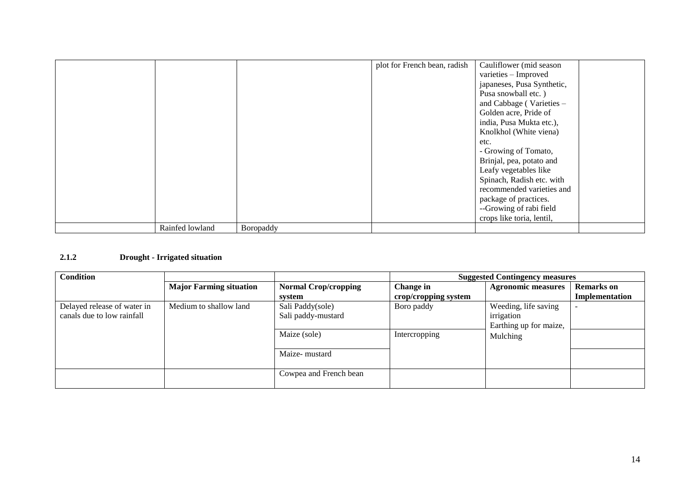|                 |           | plot for French bean, radish | Cauliflower (mid season    |
|-----------------|-----------|------------------------------|----------------------------|
|                 |           |                              | varieties - Improved       |
|                 |           |                              | japaneses, Pusa Synthetic, |
|                 |           |                              | Pusa snowball etc.)        |
|                 |           |                              | and Cabbage (Varieties -   |
|                 |           |                              | Golden acre, Pride of      |
|                 |           |                              | india, Pusa Mukta etc.),   |
|                 |           |                              | Knolkhol (White viena)     |
|                 |           |                              | etc.                       |
|                 |           |                              | - Growing of Tomato,       |
|                 |           |                              | Brinjal, pea, potato and   |
|                 |           |                              | Leafy vegetables like      |
|                 |           |                              | Spinach, Radish etc. with  |
|                 |           |                              | recommended varieties and  |
|                 |           |                              | package of practices.      |
|                 |           |                              | --Growing of rabi field    |
|                 |           |                              | crops like toria, lentil,  |
| Rainfed lowland | Boropaddy |                              |                            |

## **2.1.2 Drought - Irrigated situation**

| <b>Condition</b>            |                                |                             | <b>Suggested Contingency measures</b> |                           |                   |
|-----------------------------|--------------------------------|-----------------------------|---------------------------------------|---------------------------|-------------------|
|                             | <b>Major Farming situation</b> | <b>Normal Crop/cropping</b> | Change in                             | <b>Agronomic measures</b> | <b>Remarks</b> on |
|                             |                                | system                      | crop/cropping system                  |                           | Implementation    |
| Delayed release of water in | Medium to shallow land         | Sali Paddy(sole)            | Boro paddy                            | Weeding, life saving      |                   |
| canals due to low rainfall  |                                | Sali paddy-mustard          |                                       | irrigation                |                   |
|                             |                                |                             |                                       | Earthing up for maize,    |                   |
|                             |                                | Maize (sole)                | Intercropping                         | Mulching                  |                   |
|                             |                                | Maize-mustard               |                                       |                           |                   |
|                             |                                | Cowpea and French bean      |                                       |                           |                   |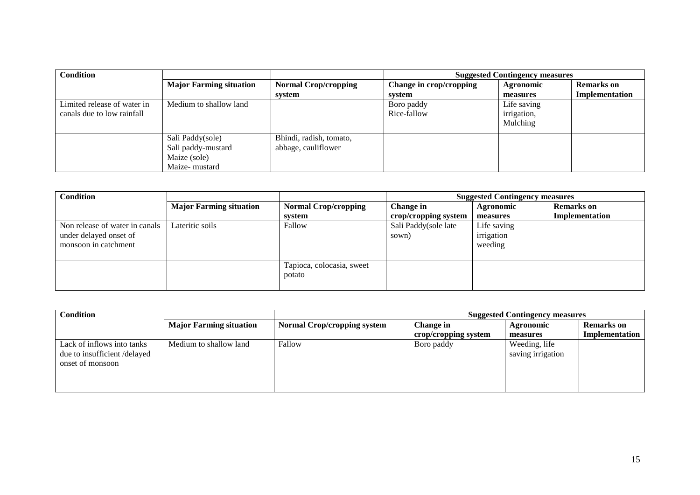| <b>Condition</b>            |                                |                             | <b>Suggested Contingency measures</b> |                  |                   |
|-----------------------------|--------------------------------|-----------------------------|---------------------------------------|------------------|-------------------|
|                             | <b>Major Farming situation</b> | <b>Normal Crop/cropping</b> | Change in crop/cropping               | <b>Agronomic</b> | <b>Remarks</b> on |
|                             |                                | system                      | system                                | measures         | Implementation    |
| Limited release of water in | Medium to shallow land         |                             | Boro paddy                            | Life saving      |                   |
| canals due to low rainfall  |                                |                             | Rice-fallow                           | irrigation,      |                   |
|                             |                                |                             |                                       | Mulching         |                   |
|                             | Sali Paddy(sole)               | Bhindi, radish, tomato,     |                                       |                  |                   |
|                             | Sali paddy-mustard             | abbage, cauliflower         |                                       |                  |                   |
|                             | Maize (sole)                   |                             |                                       |                  |                   |
|                             | Maize-mustard                  |                             |                                       |                  |                   |

| <b>Condition</b>               |                                |                             | <b>Suggested Contingency measures</b> |             |                   |  |
|--------------------------------|--------------------------------|-----------------------------|---------------------------------------|-------------|-------------------|--|
|                                | <b>Major Farming situation</b> | <b>Normal Crop/cropping</b> | Change in                             | Agronomic   | <b>Remarks</b> on |  |
|                                |                                | system                      | crop/cropping system                  | measures    | Implementation    |  |
| Non release of water in canals | Lateritic soils                | Fallow                      | Sali Paddy(sole late                  | Life saving |                   |  |
| under delayed onset of         |                                |                             | sown)                                 | irrigation  |                   |  |
| monsoon in catchment           |                                |                             |                                       | weeding     |                   |  |
|                                |                                |                             |                                       |             |                   |  |
|                                |                                | Tapioca, colocasia, sweet   |                                       |             |                   |  |
|                                |                                | potato                      |                                       |             |                   |  |
|                                |                                |                             |                                       |             |                   |  |

|                                |                                    | <b>Suggested Contingency measures</b> |                   |                   |
|--------------------------------|------------------------------------|---------------------------------------|-------------------|-------------------|
| <b>Major Farming situation</b> | <b>Normal Crop/cropping system</b> | Change in                             | Agronomic         | <b>Remarks</b> on |
|                                |                                    | crop/cropping system                  | measures          | Implementation    |
| Medium to shallow land         | Fallow                             | Boro paddy                            | Weeding, life     |                   |
|                                |                                    |                                       | saving irrigation |                   |
|                                |                                    |                                       |                   |                   |
|                                |                                    |                                       |                   |                   |
|                                |                                    |                                       |                   |                   |
|                                |                                    |                                       |                   |                   |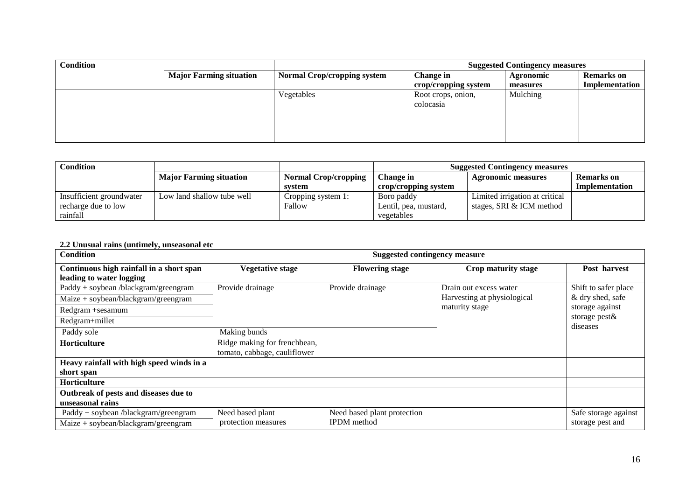| <b>Condition</b> |                                |                                    | <b>Suggested Contingency measures</b> |           |                   |
|------------------|--------------------------------|------------------------------------|---------------------------------------|-----------|-------------------|
|                  | <b>Major Farming situation</b> | <b>Normal Crop/cropping system</b> | Change in                             | Agronomic | <b>Remarks</b> on |
|                  |                                |                                    | crop/cropping system                  | measures  | Implementation    |
|                  |                                | Vegetables                         | Root crops, onion,                    | Mulching  |                   |
|                  |                                |                                    | colocasia                             |           |                   |
|                  |                                |                                    |                                       |           |                   |
|                  |                                |                                    |                                       |           |                   |
|                  |                                |                                    |                                       |           |                   |
|                  |                                |                                    |                                       |           |                   |

| Condition                |                                |                             | <b>Suggested Contingency measures</b> |                                |                   |
|--------------------------|--------------------------------|-----------------------------|---------------------------------------|--------------------------------|-------------------|
|                          | <b>Major Farming situation</b> | <b>Normal Crop/cropping</b> | Change in                             | <b>Agronomic measures</b>      | <b>Remarks</b> on |
|                          |                                | system                      | crop/cropping system                  |                                | Implementation    |
| Insufficient groundwater | Low land shallow tube well     | Cropping system 1:          | Boro paddy                            | Limited irrigation at critical |                   |
| recharge due to low      |                                | Fallow                      | Lentil, pea, mustard,                 | stages, SRI & ICM method       |                   |
| rainfall                 |                                |                             | vegetables                            |                                |                   |

### **2.2 Unusual rains (untimely, unseasonal etc**

| <b>Condition</b>                                                     | <b>Suggested contingency measure</b>                         |                             |                             |                           |  |  |
|----------------------------------------------------------------------|--------------------------------------------------------------|-----------------------------|-----------------------------|---------------------------|--|--|
| Continuous high rainfall in a short span<br>leading to water logging | <b>Vegetative stage</b>                                      | <b>Flowering stage</b>      | Crop maturity stage         | Post harvest              |  |  |
| Paddy + soybean /blackgram/greengram                                 | Provide drainage                                             | Provide drainage            | Drain out excess water      | Shift to safer place      |  |  |
| $Maize + soybean/blackgram/greengram$                                |                                                              |                             | Harvesting at physiological | & dry shed, safe          |  |  |
| Redgram +sesamum                                                     |                                                              |                             | maturity stage              | storage against           |  |  |
| Redgram+millet                                                       |                                                              |                             |                             | storage pest&<br>diseases |  |  |
| Paddy sole                                                           | Making bunds                                                 |                             |                             |                           |  |  |
| Horticulture                                                         | Ridge making for frenchbean,<br>tomato, cabbage, cauliflower |                             |                             |                           |  |  |
| Heavy rainfall with high speed winds in a                            |                                                              |                             |                             |                           |  |  |
| short span                                                           |                                                              |                             |                             |                           |  |  |
| <b>Horticulture</b>                                                  |                                                              |                             |                             |                           |  |  |
| Outbreak of pests and diseases due to                                |                                                              |                             |                             |                           |  |  |
| unseasonal rains                                                     |                                                              |                             |                             |                           |  |  |
| Paddy + soybean /blackgram/greengram                                 | Need based plant                                             | Need based plant protection |                             | Safe storage against      |  |  |
| $Maize + soybean/blackgram/greengram$                                | protection measures                                          | <b>IPDM</b> method          |                             | storage pest and          |  |  |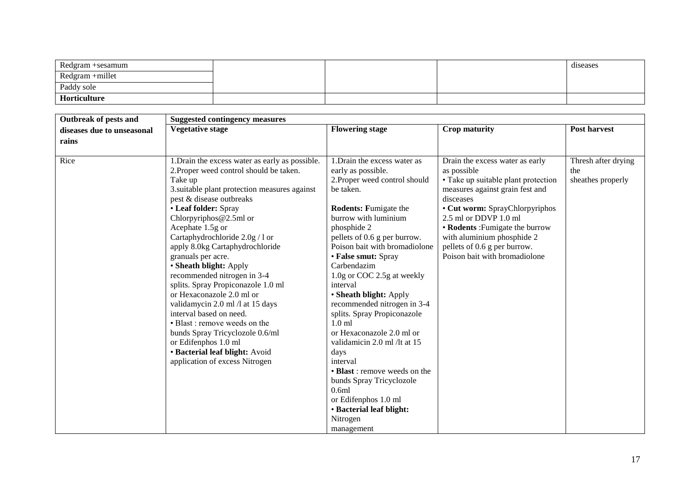| Redgram +sesamum |  | diseases |
|------------------|--|----------|
| Redgram +millet  |  |          |
| Paddy sole       |  |          |
| Horticulture     |  |          |

| Outbreak of pests and      | <b>Suggested contingency measures</b>           |                               |                                     |                     |
|----------------------------|-------------------------------------------------|-------------------------------|-------------------------------------|---------------------|
| diseases due to unseasonal | <b>Vegetative stage</b>                         | <b>Flowering stage</b>        | <b>Crop maturity</b>                | <b>Post harvest</b> |
| rains                      |                                                 |                               |                                     |                     |
|                            |                                                 |                               |                                     |                     |
| Rice                       | 1. Drain the excess water as early as possible. | 1. Drain the excess water as  | Drain the excess water as early     | Thresh after drying |
|                            | 2. Proper weed control should be taken.         | early as possible.            | as possible                         | the                 |
|                            | Take up                                         | 2. Proper weed control should | • Take up suitable plant protection | sheathes properly   |
|                            | 3. suitable plant protection measures against   | be taken.                     | measures against grain fest and     |                     |
|                            | pest & disease outbreaks                        |                               | disceases                           |                     |
|                            | • Leaf folder: Spray                            | <b>Rodents: Fumigate the</b>  | • Cut worm: SprayChlorpyriphos      |                     |
|                            | Chlorpyriphos@2.5ml or                          | burrow with luminium          | 2.5 ml or DDVP 1.0 ml               |                     |
|                            | Acephate 1.5g or                                | phosphide 2                   | • Rodents: Fumigate the burrow      |                     |
|                            | Cartaphydrochloride 2.0g / 1 or                 | pellets of 0.6 g per burrow.  | with aluminium phosphide 2          |                     |
|                            | apply 8.0kg Cartaphydrochloride                 | Poison bait with bromadiolone | pellets of 0.6 g per burrow.        |                     |
|                            | granuals per acre.                              | • False smut: Spray           | Poison bait with bromadiolone       |                     |
|                            | • Sheath blight: Apply                          | Carbendazim                   |                                     |                     |
|                            | recommended nitrogen in 3-4                     | 1.0g or COC 2.5g at weekly    |                                     |                     |
|                            | splits. Spray Propiconazole 1.0 ml              | interval                      |                                     |                     |
|                            | or Hexaconazole 2.0 ml or                       | • Sheath blight: Apply        |                                     |                     |
|                            | validamycin 2.0 ml /l at 15 days                | recommended nitrogen in 3-4   |                                     |                     |
|                            | interval based on need.                         | splits. Spray Propiconazole   |                                     |                     |
|                            | • Blast : remove weeds on the                   | 1.0 <sub>m</sub>              |                                     |                     |
|                            | bunds Spray Tricyclozole 0.6/ml                 | or Hexaconazole 2.0 ml or     |                                     |                     |
|                            | or Edifenphos 1.0 ml                            | validamicin 2.0 ml /lt at 15  |                                     |                     |
|                            | · Bacterial leaf blight: Avoid                  | days                          |                                     |                     |
|                            | application of excess Nitrogen                  | interval                      |                                     |                     |
|                            |                                                 | • Blast : remove weeds on the |                                     |                     |
|                            |                                                 | bunds Spray Tricyclozole      |                                     |                     |
|                            |                                                 | 0.6ml                         |                                     |                     |
|                            |                                                 | or Edifenphos 1.0 ml          |                                     |                     |
|                            |                                                 | · Bacterial leaf blight:      |                                     |                     |
|                            |                                                 | Nitrogen                      |                                     |                     |
|                            |                                                 | management                    |                                     |                     |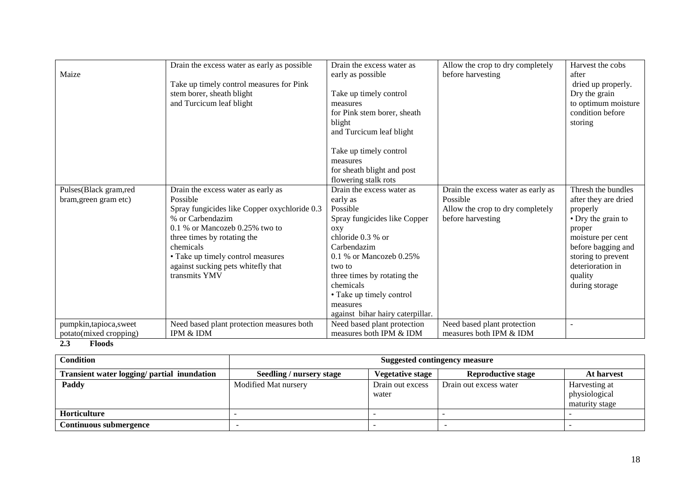| Maize                                             | Drain the excess water as early as possible<br>Take up timely control measures for Pink<br>stem borer, sheath blight<br>and Turcicum leaf blight                                                                                                                                               | Drain the excess water as<br>early as possible<br>Take up timely control<br>measures<br>for Pink stem borer, sheath<br>blight<br>and Turcicum leaf blight                                                                                                                                      | Allow the crop to dry completely<br>before harvesting                                                   | Harvest the cobs<br>after<br>dried up properly.<br>Dry the grain<br>to optimum moisture<br>condition before<br>storing                                                                                   |
|---------------------------------------------------|------------------------------------------------------------------------------------------------------------------------------------------------------------------------------------------------------------------------------------------------------------------------------------------------|------------------------------------------------------------------------------------------------------------------------------------------------------------------------------------------------------------------------------------------------------------------------------------------------|---------------------------------------------------------------------------------------------------------|----------------------------------------------------------------------------------------------------------------------------------------------------------------------------------------------------------|
|                                                   |                                                                                                                                                                                                                                                                                                | Take up timely control<br>measures<br>for sheath blight and post<br>flowering stalk rots                                                                                                                                                                                                       |                                                                                                         |                                                                                                                                                                                                          |
| Pulses(Black gram,red<br>bram, green gram etc)    | Drain the excess water as early as<br>Possible<br>Spray fungicides like Copper oxychloride 0.3<br>% or Carbendazim<br>$0.1\%$ or Mancozeb 0.25% two to<br>three times by rotating the<br>chemicals<br>• Take up timely control measures<br>against sucking pets whitefly that<br>transmits YMV | Drain the excess water as<br>early as<br>Possible<br>Spray fungicides like Copper<br>OXV<br>chloride 0.3 % or<br>Carbendazim<br>$0.1\%$ or Mancozeb $0.25\%$<br>two to<br>three times by rotating the<br>chemicals<br>• Take up timely control<br>measures<br>against bihar hairy caterpillar. | Drain the excess water as early as<br>Possible<br>Allow the crop to dry completely<br>before harvesting | Thresh the bundles<br>after they are dried<br>properly<br>• Dry the grain to<br>proper<br>moisture per cent<br>before bagging and<br>storing to prevent<br>deterioration in<br>quality<br>during storage |
| pumpkin, tapioca, sweet<br>potato(mixed cropping) | Need based plant protection measures both<br>IPM & IDM                                                                                                                                                                                                                                         | Need based plant protection<br>measures both IPM & IDM                                                                                                                                                                                                                                         | Need based plant protection<br>measures both IPM & IDM                                                  | $\overline{a}$                                                                                                                                                                                           |

### **2.3 Floods**

| Condition                                   | <b>Suggested contingency measure</b> |                           |                           |                                                  |
|---------------------------------------------|--------------------------------------|---------------------------|---------------------------|--------------------------------------------------|
| Transient water logging/ partial inundation | Seedling / nursery stage             | <b>Vegetative stage</b>   | <b>Reproductive stage</b> | At harvest                                       |
| Paddy                                       | Modified Mat nursery                 | Drain out excess<br>water | Drain out excess water    | Harvesting at<br>physiological<br>maturity stage |
| <b>Horticulture</b>                         |                                      |                           |                           |                                                  |
| Continuous submergence                      |                                      |                           |                           |                                                  |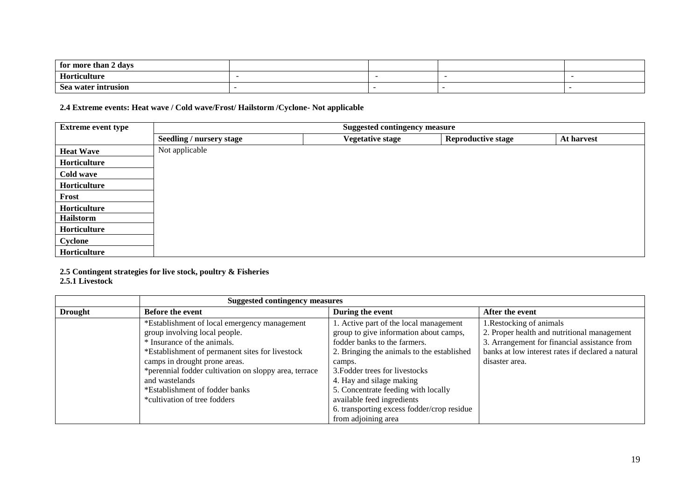| for more than 2 days |  |  |
|----------------------|--|--|
| Horticulture         |  |  |
| Sea water intrusion  |  |  |

**2.4 Extreme events: Heat wave / Cold wave/Frost/ Hailstorm /Cyclone- Not applicable**

| <b>Extreme event type</b> |                                 | <b>Suggested contingency measure</b> |                           |            |
|---------------------------|---------------------------------|--------------------------------------|---------------------------|------------|
|                           | <b>Seedling / nursery stage</b> | <b>Vegetative stage</b>              | <b>Reproductive stage</b> | At harvest |
| <b>Heat Wave</b>          | Not applicable                  |                                      |                           |            |
| Horticulture              |                                 |                                      |                           |            |
| Cold wave                 |                                 |                                      |                           |            |
| Horticulture              |                                 |                                      |                           |            |
| Frost                     |                                 |                                      |                           |            |
| Horticulture              |                                 |                                      |                           |            |
| Hailstorm                 |                                 |                                      |                           |            |
| Horticulture              |                                 |                                      |                           |            |
| Cyclone                   |                                 |                                      |                           |            |
| Horticulture              |                                 |                                      |                           |            |

**2.5 Contingent strategies for live stock, poultry & Fisheries**

#### **2.5.1 Livestock**

|                | <b>Suggested contingency measures</b>                 |                                            |                                                   |
|----------------|-------------------------------------------------------|--------------------------------------------|---------------------------------------------------|
| <b>Drought</b> | <b>Before the event</b>                               | During the event                           | After the event                                   |
|                | *Establishment of local emergency management          | 1. Active part of the local management     | 1. Restocking of animals                          |
|                | group involving local people.                         | group to give information about camps,     | 2. Proper health and nutritional management       |
|                | * Insurance of the animals.                           | fodder banks to the farmers.               | 3. Arrangement for financial assistance from      |
|                | *Establishment of permanent sites for livestock       | 2. Bringing the animals to the established | banks at low interest rates if declared a natural |
|                | camps in drought prone areas.                         | camps.                                     | disaster area.                                    |
|                | *perennial fodder cultivation on sloppy area, terrace | 3. Fodder trees for livestocks             |                                                   |
|                | and wastelands                                        | 4. Hay and silage making                   |                                                   |
|                | *Establishment of fodder banks                        | 5. Concentrate feeding with locally        |                                                   |
|                | *cultivation of tree fodders                          | available feed ingredients                 |                                                   |
|                |                                                       | 6. transporting excess fodder/crop residue |                                                   |
|                |                                                       | from adjoining area                        |                                                   |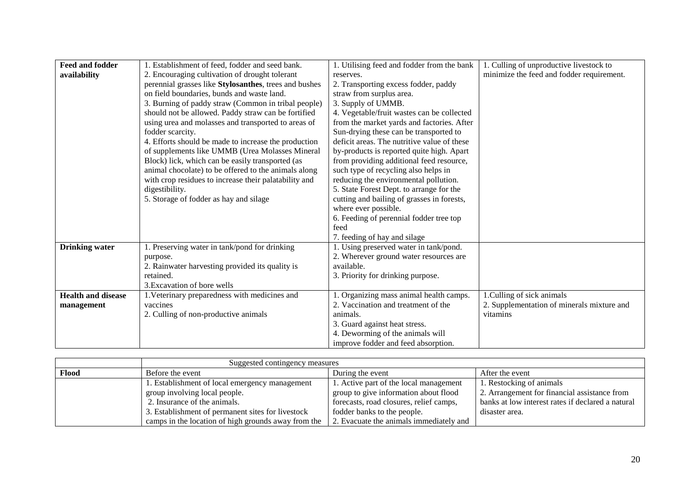| <b>Feed and fodder</b>    | 1. Establishment of feed, fodder and seed bank.       | 1. Utilising feed and fodder from the bank  | 1. Culling of unproductive livestock to    |
|---------------------------|-------------------------------------------------------|---------------------------------------------|--------------------------------------------|
| availability              | 2. Encouraging cultivation of drought tolerant        | reserves.                                   | minimize the feed and fodder requirement.  |
|                           | perennial grasses like Stylosanthes, trees and bushes | 2. Transporting excess fodder, paddy        |                                            |
|                           | on field boundaries, bunds and waste land.            | straw from surplus area.                    |                                            |
|                           | 3. Burning of paddy straw (Common in tribal people)   | 3. Supply of UMMB.                          |                                            |
|                           | should not be allowed. Paddy straw can be fortified   | 4. Vegetable/fruit wastes can be collected  |                                            |
|                           | using urea and molasses and transported to areas of   | from the market yards and factories. After  |                                            |
|                           | fodder scarcity.                                      | Sun-drying these can be transported to      |                                            |
|                           | 4. Efforts should be made to increase the production  | deficit areas. The nutritive value of these |                                            |
|                           | of supplements like UMMB (Urea Molasses Mineral       | by-products is reported quite high. Apart   |                                            |
|                           | Block) lick, which can be easily transported (as      | from providing additional feed resource,    |                                            |
|                           | animal chocolate) to be offered to the animals along  | such type of recycling also helps in        |                                            |
|                           | with crop residues to increase their palatability and | reducing the environmental pollution.       |                                            |
|                           | digestibility.                                        | 5. State Forest Dept. to arrange for the    |                                            |
|                           | 5. Storage of fodder as hay and silage                | cutting and bailing of grasses in forests,  |                                            |
|                           |                                                       | where ever possible.                        |                                            |
|                           |                                                       | 6. Feeding of perennial fodder tree top     |                                            |
|                           |                                                       | feed                                        |                                            |
|                           |                                                       | 7. feeding of hay and silage                |                                            |
| <b>Drinking water</b>     | 1. Preserving water in tank/pond for drinking         | 1. Using preserved water in tank/pond.      |                                            |
|                           | purpose.                                              | 2. Wherever ground water resources are      |                                            |
|                           | 2. Rainwater harvesting provided its quality is       | available.                                  |                                            |
|                           | retained.                                             | 3. Priority for drinking purpose.           |                                            |
|                           | 3. Excavation of bore wells                           |                                             |                                            |
| <b>Health and disease</b> | 1. Veterinary preparedness with medicines and         | 1. Organizing mass animal health camps.     | 1. Culling of sick animals                 |
| management                | vaccines                                              | 2. Vaccination and treatment of the         | 2. Supplementation of minerals mixture and |
|                           | 2. Culling of non-productive animals                  | animals.                                    | vitamins                                   |
|                           |                                                       | 3. Guard against heat stress.               |                                            |
|                           |                                                       | 4. Deworming of the animals will            |                                            |
|                           |                                                       | improve fodder and feed absorption.         |                                            |

|       | Suggested contingency measures                      |                                         |                                                   |
|-------|-----------------------------------------------------|-----------------------------------------|---------------------------------------------------|
| Flood | Before the event                                    | During the event                        | After the event                                   |
|       | 1. Establishment of local emergency management      | 1. Active part of the local management  | 1. Restocking of animals                          |
|       | group involving local people.                       | group to give information about flood   | 2. Arrangement for financial assistance from      |
|       | 2. Insurance of the animals.                        | forecasts, road closures, relief camps, | banks at low interest rates if declared a natural |
|       | 3. Establishment of permanent sites for livestock   | fodder banks to the people.             | disaster area.                                    |
|       | camps in the location of high grounds away from the | 2. Evacuate the animals immediately and |                                                   |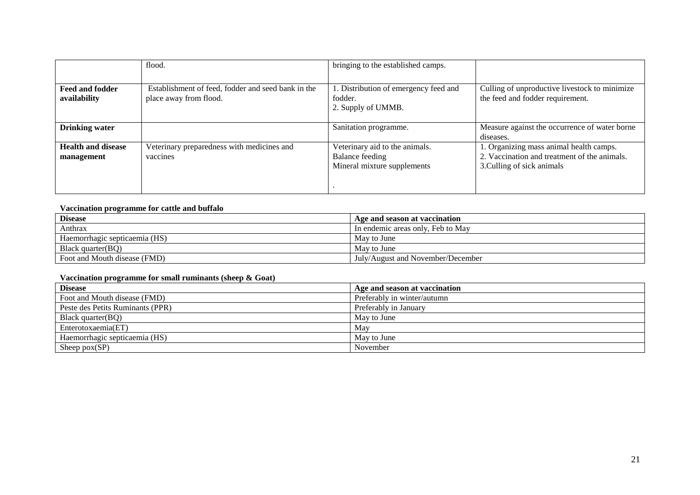|                                         | flood.                                                                       | bringing to the established camps.                                                      |                                                                                                                       |
|-----------------------------------------|------------------------------------------------------------------------------|-----------------------------------------------------------------------------------------|-----------------------------------------------------------------------------------------------------------------------|
| <b>Feed and fodder</b><br>availability  | Establishment of feed, fodder and seed bank in the<br>place away from flood. | 1. Distribution of emergency feed and<br>fodder.<br>2. Supply of UMMB.                  | Culling of unproductive livestock to minimize<br>the feed and fodder requirement.                                     |
| <b>Drinking water</b>                   |                                                                              | Sanitation programme.                                                                   | Measure against the occurrence of water borne<br>diseases.                                                            |
| <b>Health and disease</b><br>management | Veterinary preparedness with medicines and<br>vaccines                       | Veterinary aid to the animals.<br><b>Balance feeding</b><br>Mineral mixture supplements | 1. Organizing mass animal health camps.<br>2. Vaccination and treatment of the animals.<br>3. Culling of sick animals |

#### **Vaccination programme for cattle and buffalo**

| <b>Disease</b>                | Age and season at vaccination     |
|-------------------------------|-----------------------------------|
| Anthrax                       | In endemic areas only, Feb to May |
| Haemorrhagic septicaemia (HS) | May to June                       |
| Black quarter(BO)             | May to June                       |
| Foot and Mouth disease (FMD)  | July/August and November/December |

#### **Vaccination programme for small ruminants (sheep & Goat)**

| <b>Disease</b>                   | Age and season at vaccination |
|----------------------------------|-------------------------------|
| Foot and Mouth disease (FMD)     | Preferably in winter/autumn   |
| Peste des Petits Ruminants (PPR) | Preferably in January         |
| Black quarter(BQ)                | May to June                   |
| Enterotoxaemia(ET)               | May                           |
| Haemorrhagic septicaemia (HS)    | May to June                   |
| Sheep $pox(SP)$                  | November                      |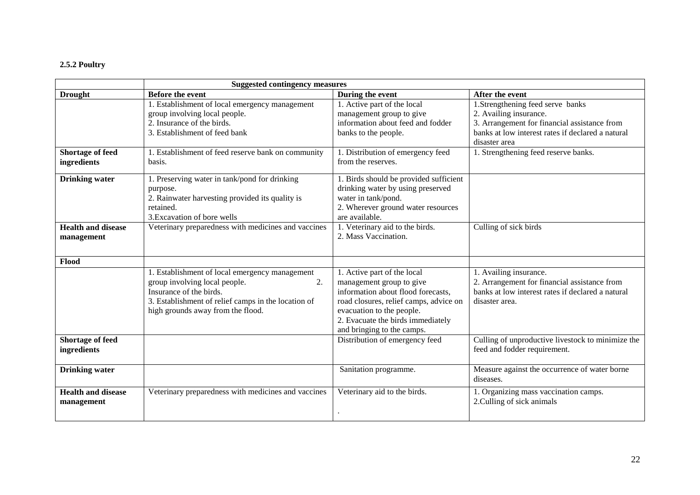## **2.5.2 Poultry**

|                                         | <b>Suggested contingency measures</b>                                                                                                                                                                        |                                                                                                                                                                                                                                         |                                                                                                                                                                                  |  |  |
|-----------------------------------------|--------------------------------------------------------------------------------------------------------------------------------------------------------------------------------------------------------------|-----------------------------------------------------------------------------------------------------------------------------------------------------------------------------------------------------------------------------------------|----------------------------------------------------------------------------------------------------------------------------------------------------------------------------------|--|--|
| <b>Drought</b>                          | <b>Before the event</b>                                                                                                                                                                                      | During the event                                                                                                                                                                                                                        | After the event                                                                                                                                                                  |  |  |
|                                         | 1. Establishment of local emergency management<br>group involving local people.<br>2. Insurance of the birds.<br>3. Establishment of feed bank                                                               | 1. Active part of the local<br>management group to give<br>information about feed and fodder<br>banks to the people.                                                                                                                    | 1.Strengthening feed serve banks<br>2. Availing insurance.<br>3. Arrangement for financial assistance from<br>banks at low interest rates if declared a natural<br>disaster area |  |  |
| <b>Shortage of feed</b><br>ingredients  | 1. Establishment of feed reserve bank on community<br>basis.                                                                                                                                                 | 1. Distribution of emergency feed<br>from the reserves.                                                                                                                                                                                 | 1. Strengthening feed reserve banks.                                                                                                                                             |  |  |
| <b>Drinking water</b>                   | 1. Preserving water in tank/pond for drinking<br>purpose.<br>2. Rainwater harvesting provided its quality is<br>retained.<br>3. Excavation of bore wells                                                     | 1. Birds should be provided sufficient<br>drinking water by using preserved<br>water in tank/pond.<br>2. Wherever ground water resources<br>are available.                                                                              |                                                                                                                                                                                  |  |  |
| <b>Health and disease</b><br>management | Veterinary preparedness with medicines and vaccines                                                                                                                                                          | 1. Veterinary aid to the birds.<br>2. Mass Vaccination.                                                                                                                                                                                 | Culling of sick birds                                                                                                                                                            |  |  |
| Flood                                   |                                                                                                                                                                                                              |                                                                                                                                                                                                                                         |                                                                                                                                                                                  |  |  |
|                                         | 1. Establishment of local emergency management<br>group involving local people.<br>2.<br>Insurance of the birds.<br>3. Establishment of relief camps in the location of<br>high grounds away from the flood. | 1. Active part of the local<br>management group to give<br>information about flood forecasts,<br>road closures, relief camps, advice on<br>evacuation to the people.<br>2. Evacuate the birds immediately<br>and bringing to the camps. | 1. Availing insurance.<br>2. Arrangement for financial assistance from<br>banks at low interest rates if declared a natural<br>disaster area.                                    |  |  |
| <b>Shortage of feed</b><br>ingredients  |                                                                                                                                                                                                              | Distribution of emergency feed                                                                                                                                                                                                          | Culling of unproductive livestock to minimize the<br>feed and fodder requirement.                                                                                                |  |  |
| <b>Drinking water</b>                   |                                                                                                                                                                                                              | Sanitation programme.                                                                                                                                                                                                                   | Measure against the occurrence of water borne<br>diseases.                                                                                                                       |  |  |
| <b>Health and disease</b><br>management | Veterinary preparedness with medicines and vaccines                                                                                                                                                          | Veterinary aid to the birds.                                                                                                                                                                                                            | 1. Organizing mass vaccination camps.<br>2. Culling of sick animals                                                                                                              |  |  |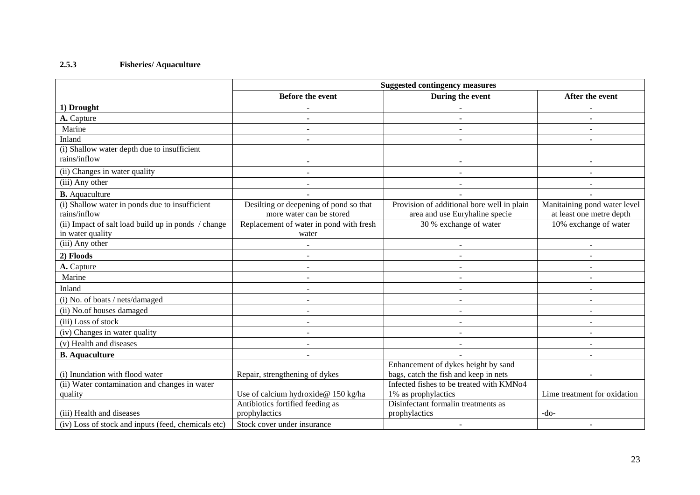# **2.5.3 Fisheries/ Aquaculture**

|                                                     | <b>Suggested contingency measures</b>   |                                            |                              |  |
|-----------------------------------------------------|-----------------------------------------|--------------------------------------------|------------------------------|--|
|                                                     | <b>Before the event</b>                 | During the event                           | After the event              |  |
| 1) Drought                                          | $\blacksquare$                          |                                            |                              |  |
| A. Capture                                          |                                         |                                            |                              |  |
| Marine                                              | $\omega$                                |                                            |                              |  |
| Inland                                              |                                         |                                            |                              |  |
| (i) Shallow water depth due to insufficient         |                                         |                                            |                              |  |
| rains/inflow                                        |                                         |                                            |                              |  |
| (ii) Changes in water quality                       | $\blacksquare$                          |                                            |                              |  |
| (iii) Any other                                     | $\omega$                                |                                            |                              |  |
| <b>B.</b> Aquaculture                               |                                         |                                            |                              |  |
| (i) Shallow water in ponds due to insufficient      | Desilting or deepening of pond so that  | Provision of additional bore well in plain | Manitaining pond water level |  |
| rains/inflow                                        | more water can be stored                | area and use Euryhaline specie             | at least one metre depth     |  |
| (ii) Impact of salt load build up in ponds / change | Replacement of water in pond with fresh | 30 % exchange of water                     | 10% exchange of water        |  |
| in water quality                                    | water                                   |                                            |                              |  |
| (iii) Any other                                     |                                         |                                            |                              |  |
| 2) Floods                                           | $\sim$                                  |                                            |                              |  |
| A. Capture                                          | $\blacksquare$                          | $\blacksquare$                             |                              |  |
| Marine                                              | $\blacksquare$                          |                                            |                              |  |
| Inland                                              | $\sim$                                  |                                            |                              |  |
| (i) No. of boats / nets/damaged                     | $\blacksquare$                          |                                            |                              |  |
| (ii) No.of houses damaged                           |                                         |                                            |                              |  |
| (iii) Loss of stock                                 | $\blacksquare$                          |                                            |                              |  |
| (iv) Changes in water quality                       | $\sim$                                  | $\blacksquare$                             |                              |  |
| (v) Health and diseases                             |                                         |                                            |                              |  |
| <b>B.</b> Aquaculture                               | ÷.                                      |                                            |                              |  |
|                                                     |                                         | Enhancement of dykes height by sand        |                              |  |
| (i) Inundation with flood water                     | Repair, strengthening of dykes          | bags, catch the fish and keep in nets      |                              |  |
| (ii) Water contamination and changes in water       |                                         | Infected fishes to be treated with KMNo4   |                              |  |
| quality                                             | Use of calcium hydroxide@ 150 kg/ha     | 1% as prophylactics                        | Lime treatment for oxidation |  |
|                                                     | Antibiotics fortified feeding as        | Disinfectant formalin treatments as        |                              |  |
| (iii) Health and diseases                           | prophylactics                           | prophylactics                              | $-do-$                       |  |
| (iv) Loss of stock and inputs (feed, chemicals etc) | Stock cover under insurance             |                                            |                              |  |